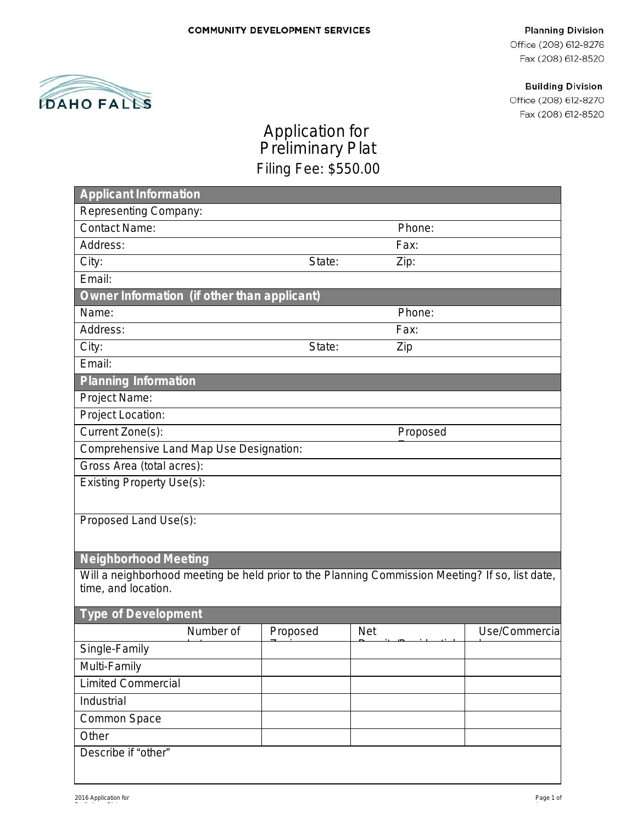#### **Planning Division**

Office (208) 612-8276 Fax (208) 612-8520

**Building Division** 

Office (208) 612-8270 Fax (208) 612-8520



# Application for Preliminary Plat Filing Fee: \$550.00

| <b>Applicant Information</b>                                                                                           |          |            |          |                |  |
|------------------------------------------------------------------------------------------------------------------------|----------|------------|----------|----------------|--|
| Representing Company:                                                                                                  |          |            |          |                |  |
| <b>Contact Name:</b>                                                                                                   |          |            | Phone:   |                |  |
| Address:                                                                                                               |          |            | Fax:     |                |  |
| City:                                                                                                                  | State:   |            | Zip:     |                |  |
| Email:                                                                                                                 |          |            |          |                |  |
| Owner Information (if other than applicant)                                                                            |          |            |          |                |  |
| Name:                                                                                                                  |          |            | Phone:   |                |  |
| Address:                                                                                                               |          |            | Fax:     |                |  |
| City:                                                                                                                  | State:   |            | Zip      |                |  |
| Email:                                                                                                                 |          |            |          |                |  |
| <b>Planning Information</b>                                                                                            |          |            |          |                |  |
| Project Name:                                                                                                          |          |            |          |                |  |
| Project Location:                                                                                                      |          |            |          |                |  |
| Current Zone(s):                                                                                                       |          |            | Proposed |                |  |
| Comprehensive Land Map Use Designation:                                                                                |          |            |          |                |  |
| Gross Area (total acres):                                                                                              |          |            |          |                |  |
| <b>Existing Property Use(s):</b>                                                                                       |          |            |          |                |  |
|                                                                                                                        |          |            |          |                |  |
| Proposed Land Use(s):                                                                                                  |          |            |          |                |  |
|                                                                                                                        |          |            |          |                |  |
| <b>Neighborhood Meeting</b>                                                                                            |          |            |          |                |  |
|                                                                                                                        |          |            |          |                |  |
| Will a neighborhood meeting be held prior to the Planning Commission Meeting? If so, list date,<br>time, and location. |          |            |          |                |  |
|                                                                                                                        |          |            |          |                |  |
| <b>Type of Development</b>                                                                                             |          |            |          |                |  |
| Number of                                                                                                              | Proposed | <b>Net</b> |          | Use/Commercial |  |
| Single-Family                                                                                                          |          |            |          |                |  |
| Multi-Family                                                                                                           |          |            |          |                |  |
| <b>Limited Commercial</b>                                                                                              |          |            |          |                |  |
| Industrial                                                                                                             |          |            |          |                |  |
| Common Space                                                                                                           |          |            |          |                |  |
| Other                                                                                                                  |          |            |          |                |  |
| Describe if "other"                                                                                                    |          |            |          |                |  |
|                                                                                                                        |          |            |          |                |  |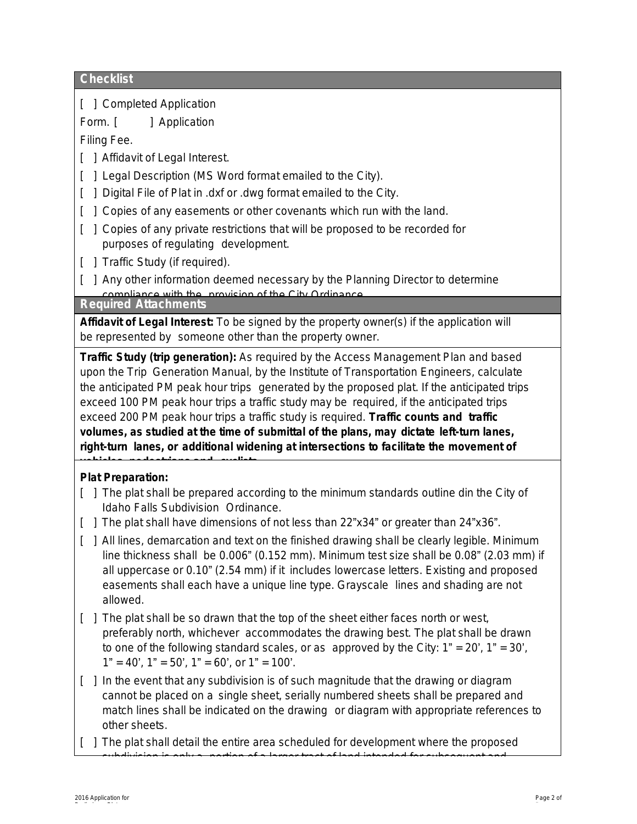### **Checklist**

[ ] Completed Application

Form. [ ] Application

Filing Fee.

- [ ] Affidavit of Legal Interest.
- [ ] Legal Description (MS Word format emailed to the City).
- [ ] Digital File of Plat in .dxf or .dwg format emailed to the City.
- [ ] Copies of any easements or other covenants which run with the land.
- [  $\mid$  ] Copies of any private restrictions that will be proposed to be recorded for purposes of regulating development.
- [ ] Traffic Study (if required).
- [ ] Any other information deemed necessary by the Planning Director to determine compliance with the provision of the City Ordinance.

**Required Attachments**

**Affidavit of Legal Interest:** To be signed by the property owner(s) if the application will be represented by someone other than the property owner.

**Traffic Study (trip generation):** As required by the *Access Management Plan* and based upon the *Trip Generation Manual*, by the Institute of Transportation Engineers, calculate the anticipated PM peak hour trips generated by the proposed plat. If the anticipated trips exceed 100 PM peak hour trips a traffic study may be required, if the anticipated trips exceed 200 PM peak hour trips a traffic study is required. **Traffic counts and traffic volumes, as studied at the time of submittal of the plans, may dictate left-turn lanes, right-turn lanes, or additional widening at intersections to facilitate the movement of vehicles, pedestrians and cyclists.**

## **Plat Preparation:**

- [ ] The plat shall be prepared according to the minimum standards outline din the City of Idaho Falls Subdivision Ordinance.
- [ ] The plat shall have dimensions of not less than 22"x34" or greater than 24"x36".
- [ ] All lines, demarcation and text on the finished drawing shall be clearly legible. Minimum line thickness shall be 0.006" (0.152 mm). Minimum test size shall be 0.08" (2.03 mm) if all uppercase or 0.10" (2.54 mm) if it includes lowercase letters. Existing and proposed easements shall each have a unique line type. Grayscale lines and shading are not allowed.
- [ ] The plat shall be so drawn that the top of the sheet either faces north or west, preferably north, whichever accommodates the drawing best. The plat shall be drawn to one of the following standard scales, or as approved by the City:  $1" = 20'$ ,  $1" = 30'$ ,  $1" = 40'$ ,  $1" = 50'$ ,  $1" = 60'$ , or  $1" = 100'$ .
- [ ] In the event that any subdivision is of such magnitude that the drawing or diagram cannot be placed on a single sheet, serially numbered sheets shall be prepared and match lines shall be indicated on the drawing or diagram with appropriate references to other sheets.
- [ ] The plat shall detail the entire area scheduled for development where the proposed subdivision is only a portion of a larger tract of land intended for subsequent and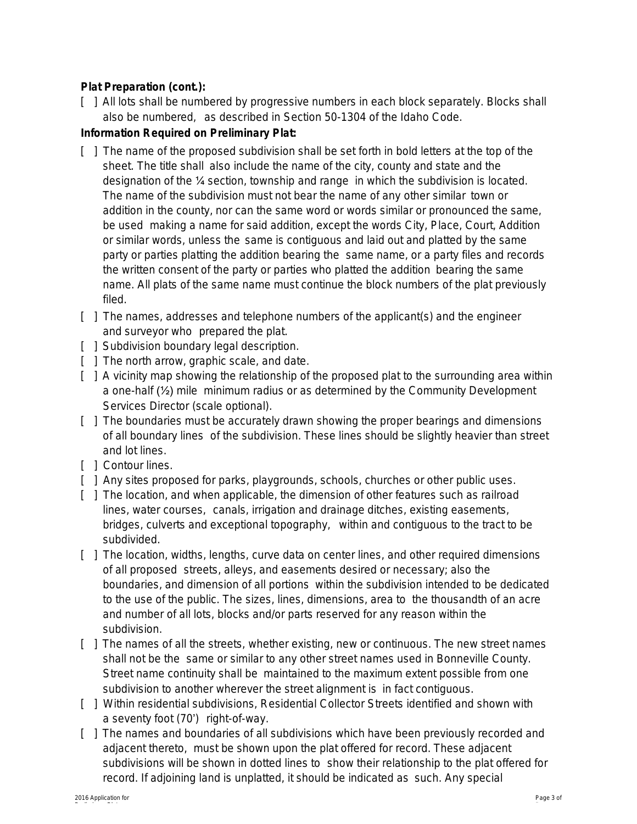#### **Plat Preparation (cont.):**

[  $\parallel$  ] All lots shall be numbered by progressive numbers in each block separately. Blocks shall also be numbered, as described in Section 50-1304 of the Idaho Code.

#### **Information Required on Preliminary Plat:**

- [ ] The name of the proposed subdivision shall be set forth in bold letters at the top of the sheet. The title shall also include the name of the city, county and state and the designation of the ¼ section, township and range in which the subdivision is located. The name of the subdivision must not bear the name of any other similar town or addition in the county, nor can the same word or words similar or pronounced the same, be used making a name for said addition, except the words City, Place, Court, Addition or similar words, unless the same is contiguous and laid out and platted by the same party or parties platting the addition bearing the same name, or a party files and records the written consent of the party or parties who platted the addition bearing the same name. All plats of the same name must continue the block numbers of the plat previously filed.
- [ ] The names, addresses and telephone numbers of the applicant(s) and the engineer and surveyor who prepared the plat.
- [ ] Subdivision boundary legal description.
- [ ] The north arrow, graphic scale, and date.
- [  $\parallel$  ] A vicinity map showing the relationship of the proposed plat to the surrounding area within a one-half (½) mile minimum radius or as determined by the Community Development Services Director (scale optional).
- [ ] The boundaries must be accurately drawn showing the proper bearings and dimensions of all boundary lines of the subdivision. These lines should be slightly heavier than street and lot lines.
- [ ] Contour lines.
- [ ] Any sites proposed for parks, playgrounds, schools, churches or other public uses.
- [ ] The location, and when applicable, the dimension of other features such as railroad lines, water courses, canals, irrigation and drainage ditches, existing easements, bridges, culverts and exceptional topography, within and contiguous to the tract to be subdivided.
- [ ] The location, widths, lengths, curve data on center lines, and other required dimensions of all proposed streets, alleys, and easements desired or necessary; also the boundaries, and dimension of all portions within the subdivision intended to be dedicated to the use of the public. The sizes, lines, dimensions, area to the thousandth of an acre and number of all lots, blocks and/or parts reserved for any reason within the subdivision.
- [ ] The names of all the streets, whether existing, new or continuous. The new street names shall not be the same or similar to any other street names used in Bonneville County. Street name continuity shall be maintained to the maximum extent possible from one subdivision to another wherever the street alignment is in fact contiguous.
- [ ] Within residential subdivisions, Residential Collector Streets identified and shown with a seventy foot (70') right-of-way.
- [ ] The names and boundaries of all subdivisions which have been previously recorded and adjacent thereto, must be shown upon the plat offered for record. These adjacent subdivisions will be shown in dotted lines to show their relationship to the plat offered for record. If adjoining land is unplatted, it should be indicated as such. Any special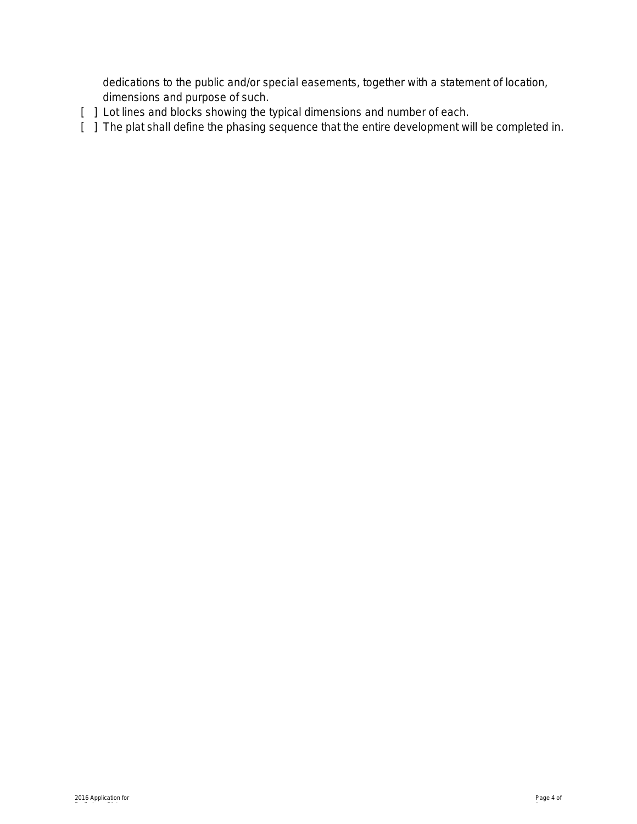dedications to the public and/or special easements, together with a statement of location, dimensions and purpose of such.

- [  $\,$  ] Lot lines and blocks showing the typical dimensions and number of each.
- [ ] The plat shall define the phasing sequence that the entire development will be completed in.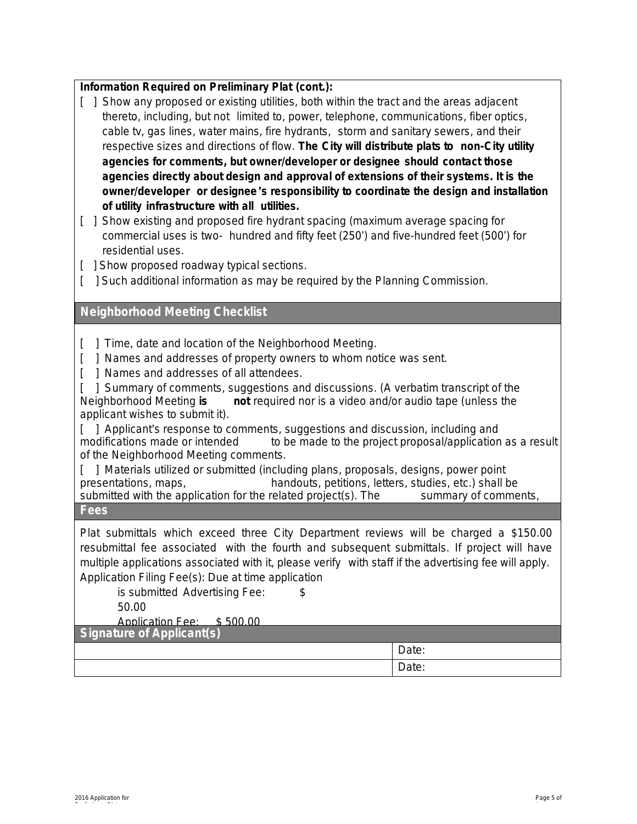| Information Required on Preliminary Plat (cont.): |  |  |  |
|---------------------------------------------------|--|--|--|
|---------------------------------------------------|--|--|--|

|                                                                                             |                                                                                       | [ ] Show any proposed or existing utilities, both within the tract and the areas adjacent |  |  |  |
|---------------------------------------------------------------------------------------------|---------------------------------------------------------------------------------------|-------------------------------------------------------------------------------------------|--|--|--|
|                                                                                             |                                                                                       | thereto, including, but not limited to, power, telephone, communications, fiber optics,   |  |  |  |
| cable tv, gas lines, water mains, fire hydrants, storm and sanitary sewers, and their       |                                                                                       |                                                                                           |  |  |  |
| respective sizes and directions of flow. The City will distribute plats to non-City utility |                                                                                       |                                                                                           |  |  |  |
| agencies for comments, but owner/developer or designee should contact those                 |                                                                                       |                                                                                           |  |  |  |
|                                                                                             | agencies directly about design and approval of extensions of their systems. It is the |                                                                                           |  |  |  |
| owner/developer or designee's responsibility to coordinate the design and installation      |                                                                                       |                                                                                           |  |  |  |
|                                                                                             |                                                                                       | of utility infrastructure with all utilities.                                             |  |  |  |

[ ] Show existing and proposed fire hydrant spacing (maximum average spacing for commercial uses is two- hundred and fifty feet (250') and five-hundred feet (500') for residential uses.

- [ ] Show proposed roadway typical sections.
- [ ] Such additional information as may be required by the Planning Commission.

#### **Neighborhood Meeting Checklist**

[ ] Time, date and location of the Neighborhood Meeting.

- [  $\parallel$  1 Names and addresses of property owners to whom notice was sent.
- [ ] Names and addresses of all attendees.

[ ] Summary of comments, suggestions and discussions. (A verbatim transcript of the Neighborhood Meeting **is not** required nor is a video and/or audio tape (unless the applicant wishes to submit it).

[ ] Applicant's response to comments, suggestions and discussion, including and modifications made or intended to be made to the project proposal/application to be made to the project proposal/application as a result of the Neighborhood Meeting comments.

[ ] Materials utilized or submitted (including plans, proposals, designs, power point presentations, maps, handouts, petitions, letters, studies, etc.) shall be submitted with the application for the related project(s). The summary of comments, submitted with the application for the related project(s). The suggestions and discussion should be extensive **Fees** enough to allow the reader to understand

Plat submittals which exceed three City Department reviews will be charged a \$150.00 resubmittal fee associated with the fourth and subsequent submittals. If project will have multiple applications associated with it, please verify with staff if the advertising fee will apply. Application Filing Fee(s): Due at time application

is submitted Advertising Fee: \$

50.00

Application Fee: \$ 500.00

**Signature of Applicant(s)**

| $\ddotsc$<br>. |
|----------------|
| Duit.          |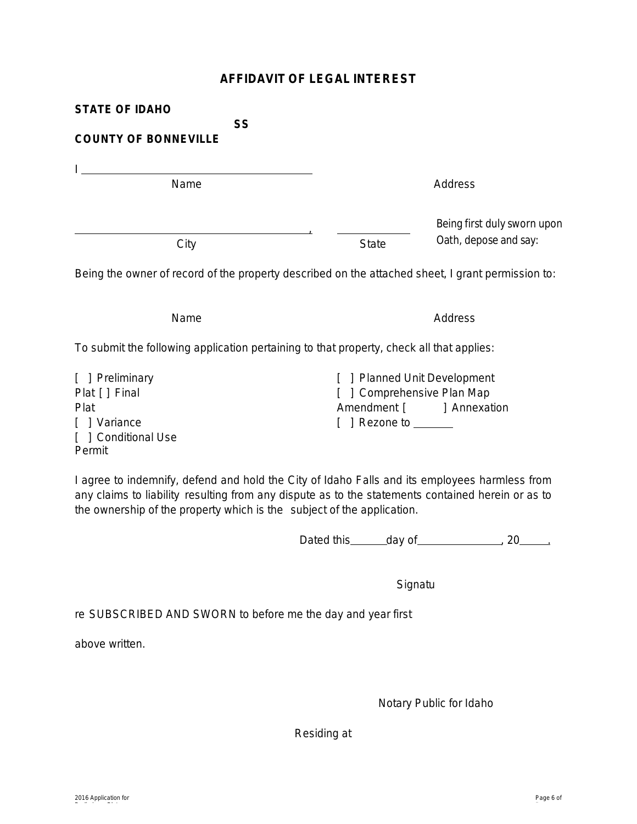#### **AFFIDAVIT OF LEGAL INTEREST**

| <b>STATE OF IDAHO</b>                                                                             |                   |                                                                                         |
|---------------------------------------------------------------------------------------------------|-------------------|-----------------------------------------------------------------------------------------|
| <b>SS</b><br><b>COUNTY OF BONNEVILLE</b>                                                          |                   |                                                                                         |
|                                                                                                   |                   |                                                                                         |
| Name                                                                                              |                   | Address                                                                                 |
| City                                                                                              | <b>State</b>      | Being first duly sworn upon<br>Oath, depose and say:                                    |
| Being the owner of record of the property described on the attached sheet, I grant permission to: |                   |                                                                                         |
| Name                                                                                              |                   | Address                                                                                 |
| To submit the following application pertaining to that property, check all that applies:          |                   |                                                                                         |
| [ ] Preliminary<br>Plat [ ] Final<br>Plat<br>Variance<br>[ ] Conditional Use                      | Rezone to _______ | <b>Planned Unit Development</b><br>] Comprehensive Plan Map<br>Amendment [ ] Annexation |

Permit

I agree to indemnify, defend and hold the City of Idaho Falls and its employees harmless from any claims to liability resulting from any dispute as to the statements contained herein or as to the ownership of the property which is the subject of the application.

Dated this  $\qquad \qquad$  day of  $\qquad \qquad$  20  $\qquad$ 

**Signatu** 

re SUBSCRIBED AND SWORN to before me the day and year first

above written.

Notary Public for Idaho

Residing at